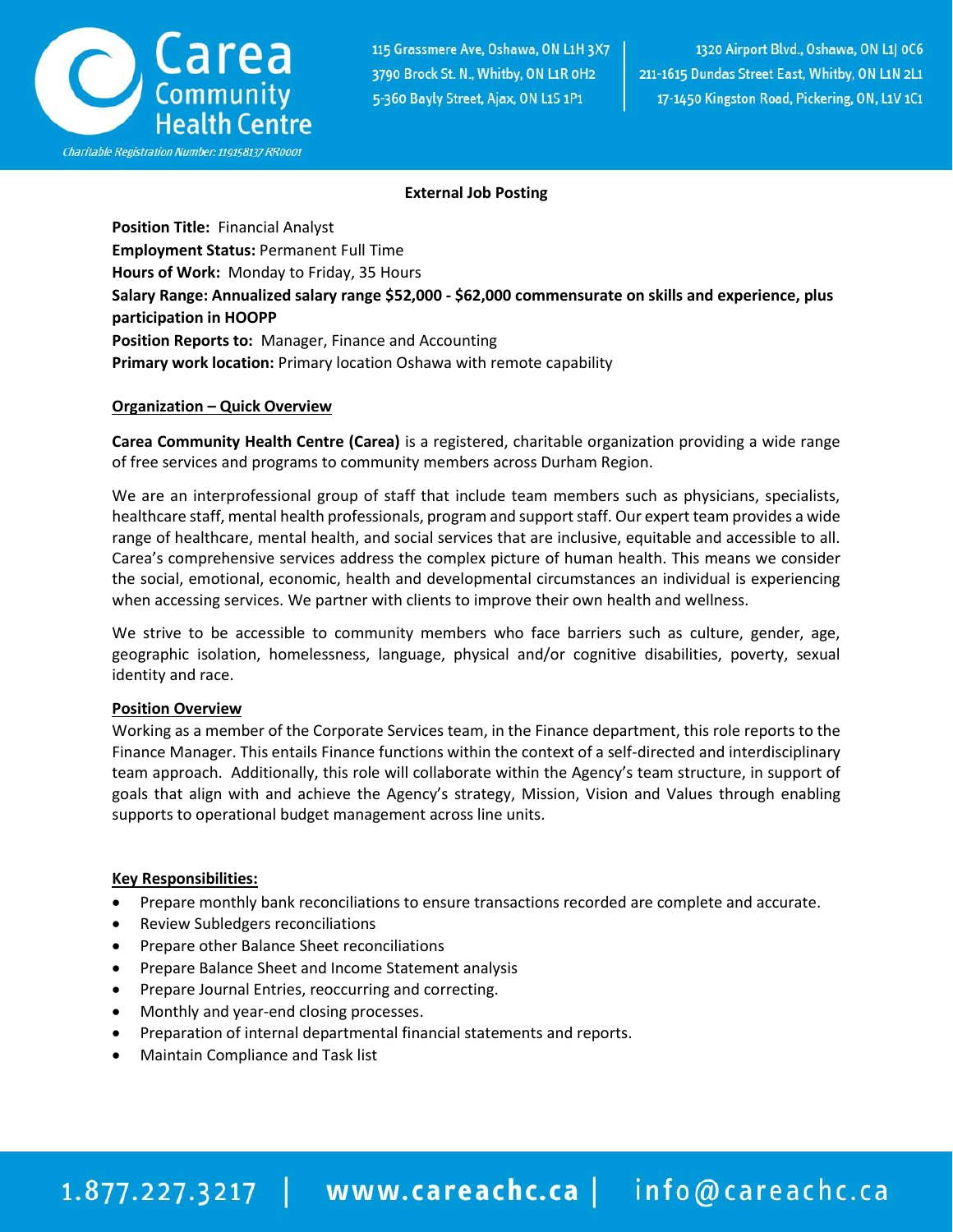

### **External Job Posting**

**Position Title:** Financial Analyst **Employment Status:** Permanent Full Time **Hours of Work:** Monday to Friday, 35 Hours **Salary Range: Annualized salary range \$52,000 - \$62,000 commensurate on skills and experience, plus participation in HOOPP Position Reports to:** Manager, Finance and Accounting **Primary work location:** Primary location Oshawa with remote capability

### **Organization – Quick Overview**

**Carea Community Health Centre (Carea)** is a registered, charitable organization providing a wide range of free services and programs to community members across Durham Region.

We are an interprofessional group of staff that include team members such as physicians, specialists, healthcare staff, mental health professionals, program and support staff. Our expert team provides a wide range of healthcare, mental health, and social services that are inclusive, equitable and accessible to all. Carea's comprehensive services address the complex picture of human health. This means we consider the social, emotional, economic, health and developmental circumstances an individual is experiencing when accessing services. We partner with clients to improve their own health and wellness.

We strive to be accessible to community members who face barriers such as culture, gender, age, geographic isolation, homelessness, language, physical and/or cognitive disabilities, poverty, sexual identity and race.

#### **Position Overview**

Working as a member of the Corporate Services team, in the Finance department, this role reports to the Finance Manager. This entails Finance functions within the context of a self-directed and interdisciplinary team approach. Additionally, this role will collaborate within the Agency's team structure, in support of goals that align with and achieve the Agency's strategy, Mission, Vision and Values through enabling supports to operational budget management across line units.

#### **Key Responsibilities:**

- Prepare monthly bank reconciliations to ensure transactions recorded are complete and accurate.
- Review Subledgers reconciliations
- Prepare other Balance Sheet reconciliations
- Prepare Balance Sheet and Income Statement analysis
- Prepare Journal Entries, reoccurring and correcting.
- Monthly and year-end closing processes.
- Preparation of internal departmental financial statements and reports.
- Maintain Compliance and Task list

# 1.877.227.3217 | www.careachc.ca | info@careachc.ca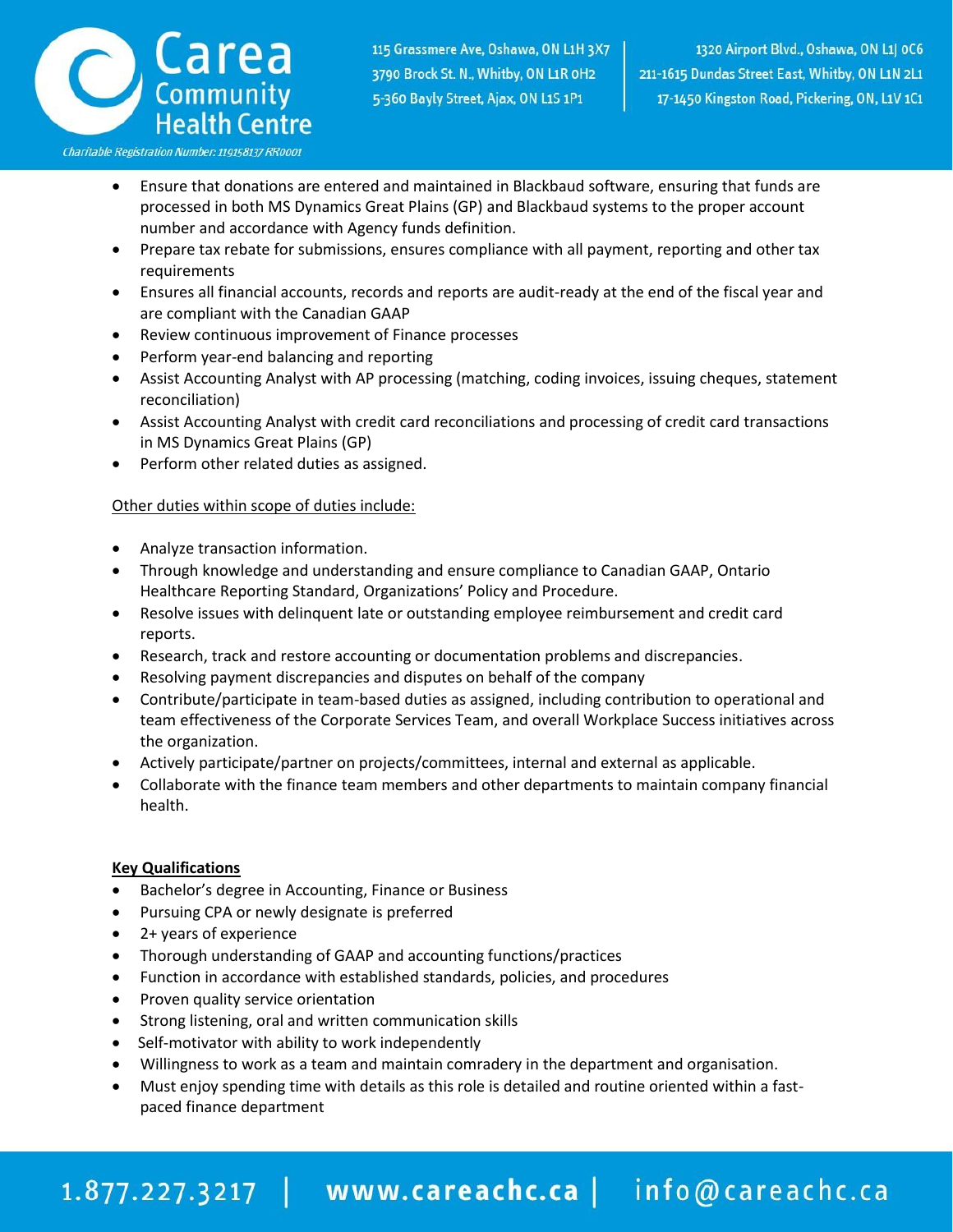

Charitable Registration Number: 119158137 RR0001

- Ensure that donations are entered and maintained in Blackbaud software, ensuring that funds are processed in both MS Dynamics Great Plains (GP) and Blackbaud systems to the proper account number and accordance with Agency funds definition.
- Prepare tax rebate for submissions, ensures compliance with all payment, reporting and other tax requirements
- Ensures all financial accounts, records and reports are audit-ready at the end of the fiscal year and are compliant with the Canadian GAAP
- Review continuous improvement of Finance processes
- Perform year-end balancing and reporting
- Assist Accounting Analyst with AP processing (matching, coding invoices, issuing cheques, statement reconciliation)
- Assist Accounting Analyst with credit card reconciliations and processing of credit card transactions in MS Dynamics Great Plains (GP)
- Perform other related duties as assigned.

### Other duties within scope of duties include:

- Analyze transaction information.
- Through knowledge and understanding and ensure compliance to Canadian GAAP, Ontario Healthcare Reporting Standard, Organizations' Policy and Procedure.
- Resolve issues with delinquent late or outstanding employee reimbursement and credit card reports.
- Research, track and restore accounting or documentation problems and discrepancies.
- Resolving payment discrepancies and disputes on behalf of the company
- Contribute/participate in team-based duties as assigned, including contribution to operational and team effectiveness of the Corporate Services Team, and overall Workplace Success initiatives across the organization.
- Actively participate/partner on projects/committees, internal and external as applicable.
- Collaborate with the finance team members and other departments to maintain company financial health.

#### **Key Qualifications**

- Bachelor's degree in Accounting, Finance or Business
- Pursuing CPA or newly designate is preferred
- 2+ years of experience
- Thorough understanding of GAAP and accounting functions/practices
- Function in accordance with established standards, policies, and procedures
- Proven quality service orientation
- Strong listening, oral and written communication skills
- Self-motivator with ability to work independently
- Willingness to work as a team and maintain comradery in the department and organisation.
- Must enjoy spending time with details as this role is detailed and routine oriented within a fastpaced finance department

# 1.877.227.3217 | www.careachc.ca | info@careachc.ca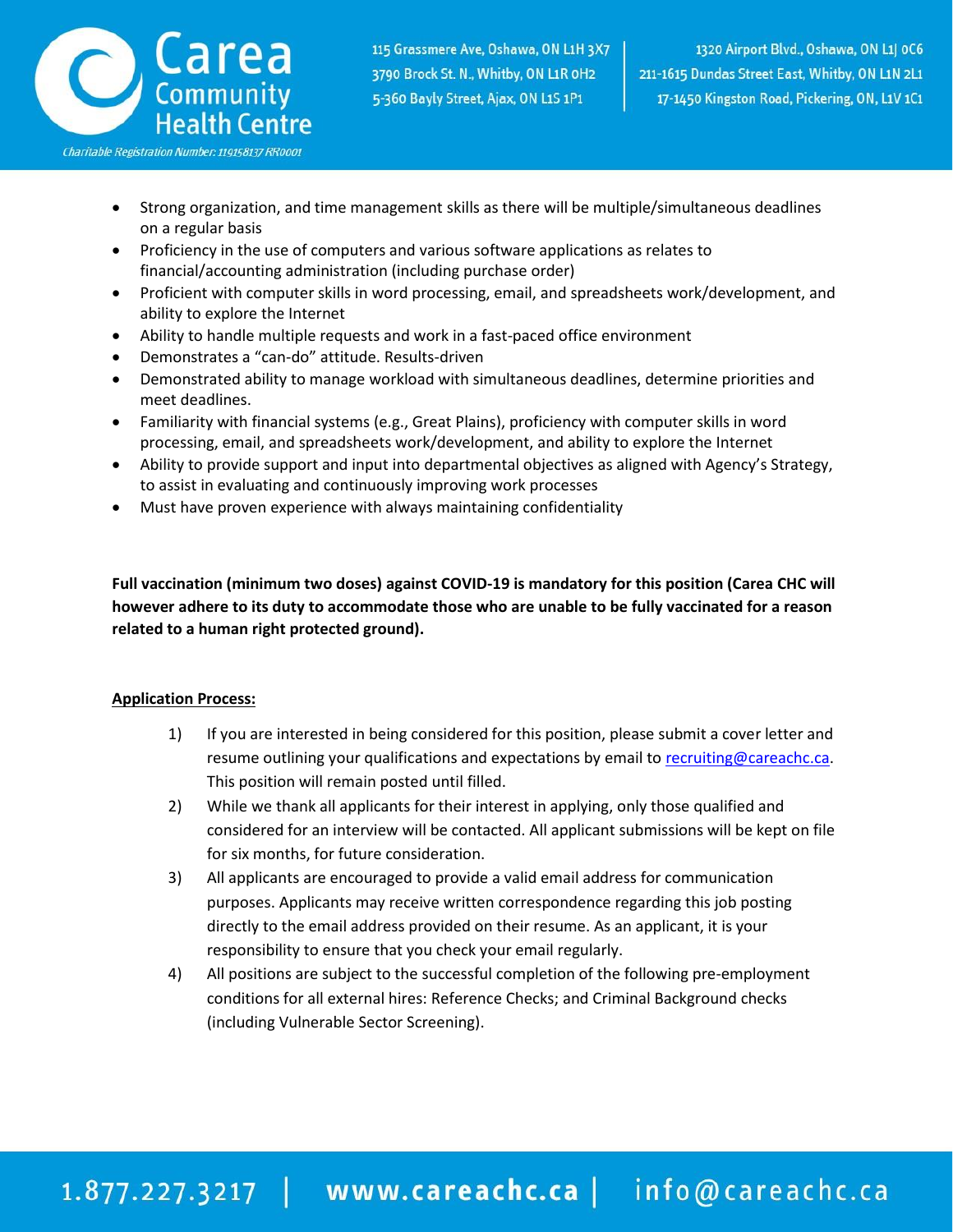

- Strong organization, and time management skills as there will be multiple/simultaneous deadlines on a regular basis
- Proficiency in the use of computers and various software applications as relates to financial/accounting administration (including purchase order)
- Proficient with computer skills in word processing, email, and spreadsheets work/development, and ability to explore the Internet
- Ability to handle multiple requests and work in a fast-paced office environment
- Demonstrates a "can-do" attitude. Results-driven
- Demonstrated ability to manage workload with simultaneous deadlines, determine priorities and meet deadlines.
- Familiarity with financial systems (e.g., Great Plains), proficiency with computer skills in word processing, email, and spreadsheets work/development, and ability to explore the Internet
- Ability to provide support and input into departmental objectives as aligned with Agency's Strategy, to assist in evaluating and continuously improving work processes
- Must have proven experience with always maintaining confidentiality

**Full vaccination (minimum two doses) against COVID-19 is mandatory for this position (Carea CHC will however adhere to its duty to accommodate those who are unable to be fully vaccinated for a reason related to a human right protected ground).**

## **Application Process:**

- 1) If you are interested in being considered for this position, please submit a cover letter and resume outlining your qualifications and expectations by email t[o recruiting@careachc.ca.](mailto:recruiting@careachc.ca) This position will remain posted until filled.
- 2) While we thank all applicants for their interest in applying, only those qualified and considered for an interview will be contacted. All applicant submissions will be kept on file for six months, for future consideration.
- 3) All applicants are encouraged to provide a valid email address for communication purposes. Applicants may receive written correspondence regarding this job posting directly to the email address provided on their resume. As an applicant, it is your responsibility to ensure that you check your email regularly.
- 4) All positions are subject to the successful completion of the following pre-employment conditions for all external hires: Reference Checks; and Criminal Background checks (including Vulnerable Sector Screening).

# 1.877.227.3217 | www.careachc.ca | info@careachc.ca